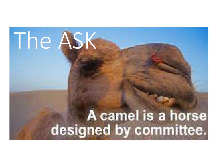## The ASK

# A camel is a horse<br>designed by committee.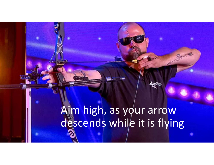### Aim high, as your arrow descends while it is flying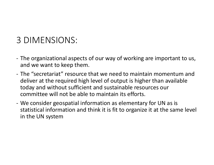#### 3 DIMENSIONS:

- 3 DIMENSIONS:<br>- The organizational aspects of our way of working are important to us,<br>and we want to keep them.<br>- The "secretariat" resource that we need to maintain momentum and and we want to keep them.
- 3 DIMENSIONS:<br>- The organizational aspects of our way of working are important to us,<br>and we want to keep them.<br>- The "secretariat" resource that we need to maintain momentum and<br>deliver at the required high level of outpu deliver at the required high level of output is higher than available today and without sufficient and sustainable resources our committee will not be able to maintain its efforts. 3 DIMENSIONS:<br>- The organizational aspects of our way of working are important to us,<br>and we want to keep them.<br>- The "secretariat" resource that we need to maintain momentum and<br>deliver at the required high level of outpu
- statistical information and think it is fit to organize it at the same level in the UN system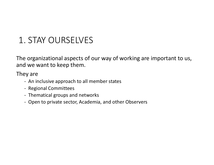#### 1. STAY OURSELVES

The organizational aspects of our way of working are important to us, and we want to keep them. - STAY OURSELVES<br>
- organizational aspects of our way of working are in<br>
d we want to keep them.<br>
- An inclusive approach to all member states<br>
- Regional Committees<br>
- Thematical groups and networks<br>
- Open to private sec - STAY OURSELVES<br>
- organizational aspects of our way of<br>
Here want to keep them.<br>
- An inclusive approach to all member stat<br>
- Regional Committees<br>
- Thematical groups and networks<br>
- Open to private sector, Academia, an - STAY OURSELVES<br>
- organizational aspects of our way of work<br>
- y are<br>
- An inclusive approach to all member states<br>
- Regional Committees<br>
- Thematical groups and networks<br>
- Open to private sector, Academia, and other O - STAY OURSELVES<br>
- organizational aspects of our way of working are<br>
- an inclusive approach to all member states<br>
- An inclusive approach to all member states<br>
- Regional Committees<br>
- Thematical groups and networks<br>
- O

They are

- 
- 
- 
-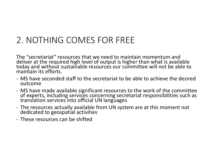#### 2. NOTHING COMES FOR FREE

The "secretariat" resources that we need to maintain momentum and deliver at the required high level of output is higher than what is available today and without sustainable resources our committee will not be able to maintain its efforts. 2. NOTHING COMES FOR FREE<br>The "secretariat" resources that we need to maintain momentum and<br>deliver at the required high level of output is higher than what is available<br>today and without sustainable resources our committe 2. INCTITING COIVILS FON FINEL<br>The "secretariat" resources that we need to maintain momentum and<br>deliver at the required high level of output is higher than what is available<br>today and without sustainable resources our com The "secretariat" resources that we need<br>deliver at the required high level of out<sub>l</sub><br>today and without sustainable resource<br>maintain its efforts.<br>- MS have seconded staff to the secreta<br>outcome<br>- MS have made available si

- outcome
- maintain its efforts.<br>
 MS have seconded staff to the secretariat to be able to achieve the desired<br>
outcome<br>
 MS have made available significant resources to the work of the committee<br>
of experts, including services con
- 
-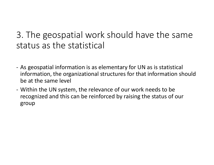#### 3. The geospatial work should have the same status as the statistical

- 3. The geospatial work should have the same<br>status as the statistical<br>- As geospatial information is as elementary for UN as is statistical<br>information, the organizational structures for that information should<br>be at the s information, the organizational structures for that information should be at the same level 3. The geospatial work should have the same<br>status as the statistical<br>- As geospatial information is as elementary for UN as is statistical<br>information, the organizational structures for that information should<br>be at the s
- recognized and this can be reinforced by raising the status of our group